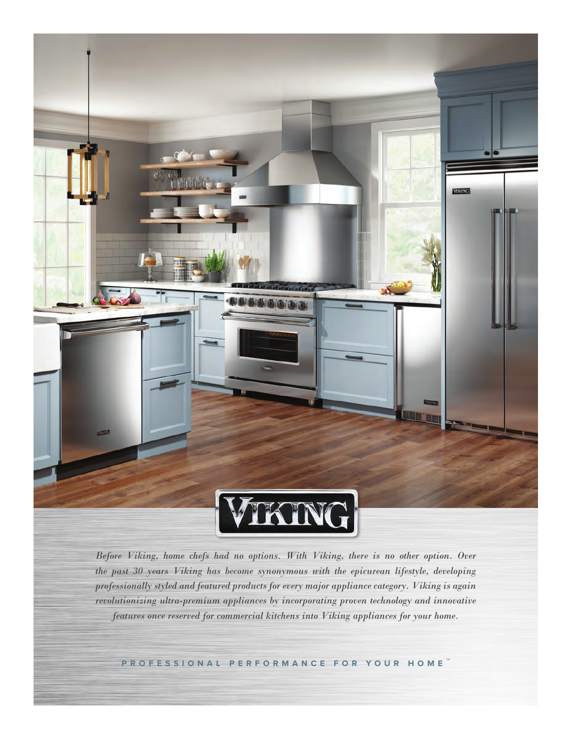

*Before Viking, home chefs had no options. With Viking, there is no other option. Over the past 30 years Viking has become synonymous with the epicurean lifestyle, developing professionally styled and featured products for every major appliance category. Viking is again revolutionizing ultra-premium appliances by incorporating proven technology and innovative features once reserved for commercial kitchens into Viking appliances for your home.*

**PROFESSIONAL PERFORMANCE FOR YOUR HOME ™**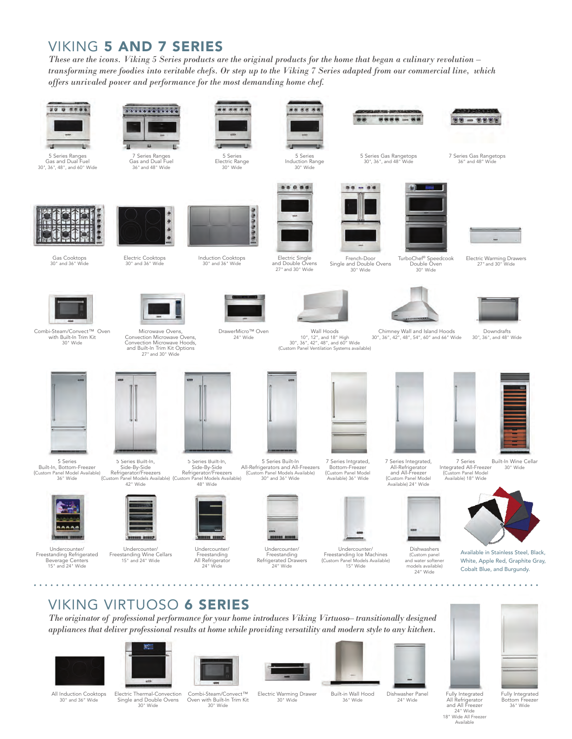## VIKING 5 AND 7 SERIES

*These are the icons. Viking 5 Series products are the original products for the home that began a culinary revolution – transforming mere foodies into veritable chefs. Or step up to the Viking 7 Series adapted from our commercial line, which offers unrivaled power and performance for the most demanding home chef.*













All Induction Cooktops 30" and 36" Wide

Electric Thermal-Convection Single and Double Ovens 30" Wide

Combi-Steam/Convect™ Oven with Built-In Trim Kit 30" Wide

Electric Warming Drawer 30" Wide

Built-in Wall Hood 36" Wide 24" Wide

Dishwasher Panel





Electric Warming Drawers 27" and 30" Wide

. . . . . . . . . . .

Fully Integrated Bottom Freezer

Fully Integrated All Refrigerator and All Freezer 24" Wide 18" Wide All Freezer Available

36" Wide



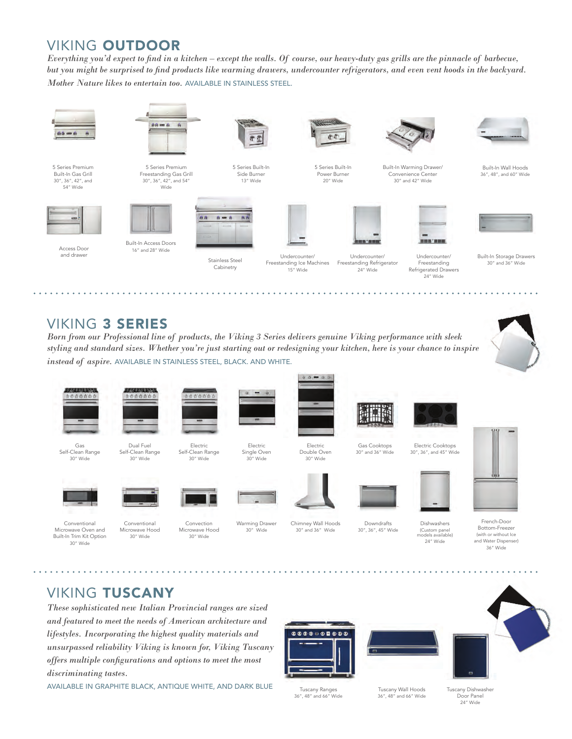## VIKING OUTDOOR

*Everything you'd expect to find in a kitchen – except the walls. Of course, our heavy-duty gas grills are the pinnacle of barbecue, but you might be surprised to find products like warming drawers, undercounter refrigerators, and even vent hoods in the backyard. Mother Nature likes to entertain too.* AVAILABLE IN STAINLESS STEEL.



5 Series Premium Built-In Gas Grill 30", 36", 42", and 54" Wide



Access Door and drawer

 $\frac{1}{2}$ 



5 Series Premium Freestanding Gas Grill 30", 36", 42", and 54" Wide



Built-In Access Doors 16" and 28" Wide



5 Series Built-In Side Burner 13" Wide



Stainless Steel **Cabinetry** 



15" Wide

 $\alpha$  of  $\rightarrow \alpha$  is

5 Series Built-In Power Burner 20" Wide



 $\ddot{\phantom{a}}$  $\frac{1}{2} \left( \frac{1}{2} \right) \left( \frac{1}{2} \right) \left( \frac{1}{2} \right) \left( \frac{1}{2} \right)$ 

24" Wide

Undercounter/ Freestanding Ice Machines Undercounter/ Freestanding Refrigerator



Built-In Warming Drawer/ Convenience Center 30" and 42" Wide

Undercounter/ Freestanding Refrigerated Drawers 24" Wide

. . . . . . . .





Built-In Wall Hoods 36", 48", and 60" Wide

Built-In Storage Drawers 30" and 36" Wide

i.  $\ddot{\phantom{a}}$ 

## VIKING 3 SERIES

*Born from our Professional line of products, the Viking 3 Series delivers genuine Viking performance with sleek styling and standard sizes. Whether you're just starting out or redesigning your kitchen, here is your chance to inspire instead of aspire.* AVAILABLE IN STAINLESS STEEL, BLACK. AND WHITE.



 $\sim$  $\ddot{\phantom{a}}$  $\ddot{\phantom{a}}$  $\sim$   $\sim$ 



Gas Self-Clean Range 30" Wide



Dual Fuel



Self-Clean Range Electric Single Oven 30" Wide

Electric

30" Wide





30", 36", and 45" Wide



French-Door Bottom-Freezer (with or without Ice and Water Dispenser) 36" Wide

Conventional Microwave Oven and Built-In Trim Kit Option 30" Wide

. . . . . . . . .



Microwave Hood 30" Wide

Conventional

Warming Drawer 30" Wide Convection Microwave Hood 30" Wide



Chimney Wall Hoods 30" and 36" Wide

. . . . . . . . . . . . .



30", 36", 45" Wide



24" Wide





*These sophisticated new Italian Provincial ranges are sized and featured to meet the needs of American architecture and lifestyles. Incorporating the highest quality materials and unsurpassed reliability Viking is known for, Viking Tuscany offers multiple configurations and options to meet the most discriminating tastes.* 





**Tuscany Range** 36", 48" and 66" Wide



Gas Cooktops 30" and 36" Wide

**Downdrafts** 

Tuscany Wall Hoods 36", 48" and 66" Wide



. . . . . . . . .

Tuscany Dishwasher Door Panel 24" Wide